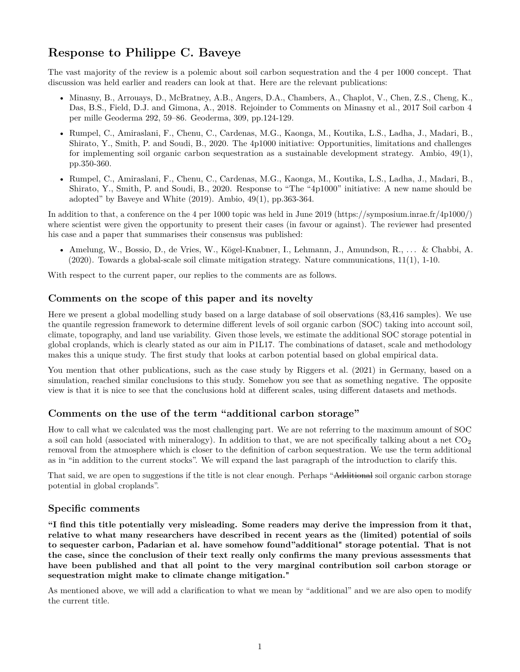# **Response to Philippe C. Baveye**

The vast majority of the review is a polemic about soil carbon sequestration and the 4 per 1000 concept. That discussion was held earlier and readers can look at that. Here are the relevant publications:

- Minasny, B., Arrouays, D., McBratney, A.B., Angers, D.A., Chambers, A., Chaplot, V., Chen, Z.S., Cheng, K., Das, B.S., Field, D.J. and Gimona, A., 2018. Rejoinder to Comments on Minasny et al., 2017 Soil carbon 4 per mille Geoderma 292, 59–86. Geoderma, 309, pp.124-129.
- Rumpel, C., Amiraslani, F., Chenu, C., Cardenas, M.G., Kaonga, M., Koutika, L.S., Ladha, J., Madari, B., Shirato, Y., Smith, P. and Soudi, B., 2020. The 4p1000 initiative: Opportunities, limitations and challenges for implementing soil organic carbon sequestration as a sustainable development strategy. Ambio, 49(1), pp.350-360.
- Rumpel, C., Amiraslani, F., Chenu, C., Cardenas, M.G., Kaonga, M., Koutika, L.S., Ladha, J., Madari, B., Shirato, Y., Smith, P. and Soudi, B., 2020. Response to "The "4p1000" initiative: A new name should be adopted" by Baveye and White  $(2019)$ . Ambio,  $49(1)$ , pp.363-364.

In addition to that, a conference on the 4 per 1000 topic was held in June 2019 (https://symposium.inrae.fr/4p1000/) where scientist were given the opportunity to present their cases (in favour or against). The reviewer had presented his case and a paper that summarises their consensus was published:

• Amelung, W., Bossio, D., de Vries, W., Kögel-Knabner, I., Lehmann, J., Amundson, R., . . . & Chabbi, A. (2020). Towards a global-scale soil climate mitigation strategy. Nature communications, 11(1), 1-10.

With respect to the current paper, our replies to the comments are as follows.

# **Comments on the scope of this paper and its novelty**

Here we present a global modelling study based on a large database of soil observations (83,416 samples). We use the quantile regression framework to determine different levels of soil organic carbon (SOC) taking into account soil, climate, topography, and land use variability. Given those levels, we estimate the additional SOC storage potential in global croplands, which is clearly stated as our aim in P1L17. The combinations of dataset, scale and methodology makes this a unique study. The first study that looks at carbon potential based on global empirical data.

You mention that other publications, such as the case study by Riggers et al. (2021) in Germany, based on a simulation, reached similar conclusions to this study. Somehow you see that as something negative. The opposite view is that it is nice to see that the conclusions hold at different scales, using different datasets and methods.

# **Comments on the use of the term "additional carbon storage"**

How to call what we calculated was the most challenging part. We are not referring to the maximum amount of SOC a soil can hold (associated with mineralogy). In addition to that, we are not specifically talking about a net  $CO<sub>2</sub>$ removal from the atmosphere which is closer to the definition of carbon sequestration. We use the term additional as in "in addition to the current stocks". We will expand the last paragraph of the introduction to clarify this.

That said, we are open to suggestions if the title is not clear enough. Perhaps "Additional soil organic carbon storage potential in global croplands".

## **Specific comments**

**"I find this title potentially very misleading. Some readers may derive the impression from it that, relative to what many researchers have described in recent years as the (limited) potential of soils to sequester carbon, Padarian et al. have somehow found"additional" storage potential. That is not the case, since the conclusion of their text really only confirms the many previous assessments that have been published and that all point to the very marginal contribution soil carbon storage or sequestration might make to climate change mitigation."**

As mentioned above, we will add a clarification to what we mean by "additional" and we are also open to modify the current title.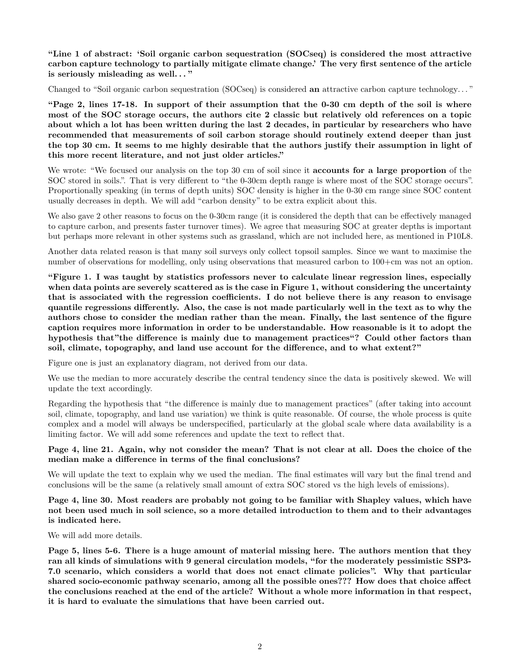**"Line 1 of abstract: 'Soil organic carbon sequestration (SOCseq) is considered the most attractive carbon capture technology to partially mitigate climate change.' The very first sentence of the article is seriously misleading as well. . . "**

Changed to "Soil organic carbon sequestration (SOCseq) is considered **an** attractive carbon capture technology. . . "

**"Page 2, lines 17-18. In support of their assumption that the 0-30 cm depth of the soil is where most of the SOC storage occurs, the authors cite 2 classic but relatively old references on a topic about which a lot has been written during the last 2 decades, in particular by researchers who have recommended that measurements of soil carbon storage should routinely extend deeper than just the top 30 cm. It seems to me highly desirable that the authors justify their assumption in light of this more recent literature, and not just older articles."**

We wrote: "We focused our analysis on the top 30 cm of soil since it **accounts for a large proportion** of the SOC stored in soils.". That is very different to "the 0-30cm depth range is where most of the SOC storage occurs". Proportionally speaking (in terms of depth units) SOC density is higher in the 0-30 cm range since SOC content usually decreases in depth. We will add "carbon density" to be extra explicit about this.

We also gave 2 other reasons to focus on the 0-30cm range (it is considered the depth that can be effectively managed to capture carbon, and presents faster turnover times). We agree that measuring SOC at greater depths is important but perhaps more relevant in other systems such as grassland, which are not included here, as mentioned in P10L8.

Another data related reason is that many soil surveys only collect topsoil samples. Since we want to maximise the number of observations for modelling, only using observations that measured carbon to  $100+cm$  was not an option.

**"Figure 1. I was taught by statistics professors never to calculate linear regression lines, especially when data points are severely scattered as is the case in Figure 1, without considering the uncertainty that is associated with the regression coefficients. I do not believe there is any reason to envisage quantile regressions differently. Also, the case is not made particularly well in the text as to why the authors chose to consider the median rather than the mean. Finally, the last sentence of the figure caption requires more information in order to be understandable. How reasonable is it to adopt the hypothesis that"the difference is mainly due to management practices"? Could other factors than soil, climate, topography, and land use account for the difference, and to what extent?"**

Figure one is just an explanatory diagram, not derived from our data.

We use the median to more accurately describe the central tendency since the data is positively skewed. We will update the text accordingly.

Regarding the hypothesis that "the difference is mainly due to management practices" (after taking into account soil, climate, topography, and land use variation) we think is quite reasonable. Of course, the whole process is quite complex and a model will always be underspecified, particularly at the global scale where data availability is a limiting factor. We will add some references and update the text to reflect that.

#### **Page 4, line 21. Again, why not consider the mean? That is not clear at all. Does the choice of the median make a difference in terms of the final conclusions?**

We will update the text to explain why we used the median. The final estimates will vary but the final trend and conclusions will be the same (a relatively small amount of extra SOC stored vs the high levels of emissions).

**Page 4, line 30. Most readers are probably not going to be familiar with Shapley values, which have not been used much in soil science, so a more detailed introduction to them and to their advantages is indicated here.**

We will add more details.

**Page 5, lines 5-6. There is a huge amount of material missing here. The authors mention that they ran all kinds of simulations with 9 general circulation models, "for the moderately pessimistic SSP3- 7.0 scenario, which considers a world that does not enact climate policies". Why that particular shared socio-economic pathway scenario, among all the possible ones??? How does that choice affect the conclusions reached at the end of the article? Without a whole more information in that respect, it is hard to evaluate the simulations that have been carried out.**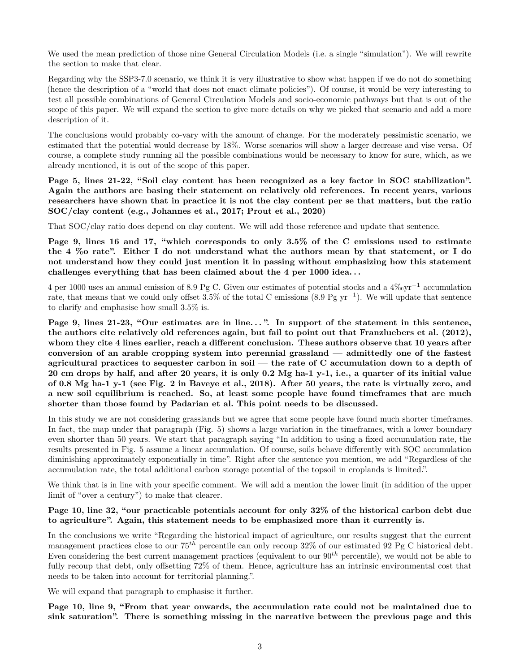We used the mean prediction of those nine General Circulation Models (i.e. a single "simulation"). We will rewrite the section to make that clear.

Regarding why the SSP3-7.0 scenario, we think it is very illustrative to show what happen if we do not do something (hence the description of a "world that does not enact climate policies"). Of course, it would be very interesting to test all possible combinations of General Circulation Models and socio-economic pathways but that is out of the scope of this paper. We will expand the section to give more details on why we picked that scenario and add a more description of it.

The conclusions would probably co-vary with the amount of change. For the moderately pessimistic scenario, we estimated that the potential would decrease by 18%. Worse scenarios will show a larger decrease and vise versa. Of course, a complete study running all the possible combinations would be necessary to know for sure, which, as we already mentioned, it is out of the scope of this paper.

**Page 5, lines 21-22, "Soil clay content has been recognized as a key factor in SOC stabilization". Again the authors are basing their statement on relatively old references. In recent years, various researchers have shown that in practice it is not the clay content per se that matters, but the ratio SOC/clay content (e.g., Johannes et al., 2017; Prout et al., 2020)**

That SOC/clay ratio does depend on clay content. We will add those reference and update that sentence.

**Page 9, lines 16 and 17, "which corresponds to only 3.5% of the C emissions used to estimate the 4 %o rate". Either I do not understand what the authors mean by that statement, or I do not understand how they could just mention it in passing without emphasizing how this statement challenges everything that has been claimed about the 4 per 1000 idea. . .**

4 per 1000 uses an annual emission of 8.9 Pg C. Given our estimates of potential stocks and a 4‰yr<sup>−</sup><sup>1</sup> accumulation rate, that means that we could only offset 3.5% of the total C emissions (8.9 Pg yr<sup>−</sup><sup>1</sup> ). We will update that sentence to clarify and emphasise how small 3.5% is.

Page 9, lines 21-23, "Our estimates are in line...". In support of the statement in this sentence, **the authors cite relatively old references again, but fail to point out that Franzluebers et al. (2012), whom they cite 4 lines earlier, reach a different conclusion. These authors observe that 10 years after conversion of an arable cropping system into perennial grassland — admittedly one of the fastest agricultural practices to sequester carbon in soil — the rate of C accumulation down to a depth of 20 cm drops by half, and after 20 years, it is only 0.2 Mg ha-1 y-1, i.e., a quarter of its initial value of 0.8 Mg ha-1 y-1 (see Fig. 2 in Baveye et al., 2018). After 50 years, the rate is virtually zero, and a new soil equilibrium is reached. So, at least some people have found timeframes that are much shorter than those found by Padarian et al. This point needs to be discussed.**

In this study we are not considering grasslands but we agree that some people have found much shorter timeframes. In fact, the map under that paragraph (Fig. 5) shows a large variation in the timeframes, with a lower boundary even shorter than 50 years. We start that paragraph saying "In addition to using a fixed accumulation rate, the results presented in Fig. 5 assume a linear accumulation. Of course, soils behave differently with SOC accumulation diminishing approximately exponentially in time". Right after the sentence you mention, we add "Regardless of the accumulation rate, the total additional carbon storage potential of the topsoil in croplands is limited.".

We think that is in line with your specific comment. We will add a mention the lower limit (in addition of the upper limit of "over a century") to make that clearer.

## **Page 10, line 32, "our practicable potentials account for only 32% of the historical carbon debt due to agriculture". Again, this statement needs to be emphasized more than it currently is.**

In the conclusions we write "Regarding the historical impact of agriculture, our results suggest that the current management practices close to our 75*th* percentile can only recoup 32% of our estimated 92 Pg C historical debt. Even considering the best current management practices (equivalent to our 90*th* percentile), we would not be able to fully recoup that debt, only offsetting 72% of them. Hence, agriculture has an intrinsic environmental cost that needs to be taken into account for territorial planning.".

We will expand that paragraph to emphasise it further.

**Page 10, line 9, "From that year onwards, the accumulation rate could not be maintained due to sink saturation". There is something missing in the narrative between the previous page and this**